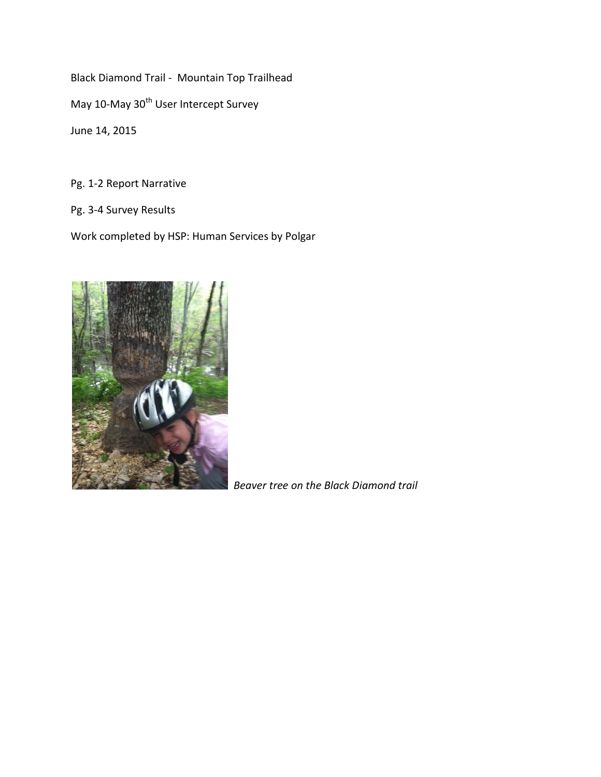Black Diamond Trail - Mountain Top Trailhead May 10-May 30<sup>th</sup> User Intercept Survey June 14, 2015

Pg. 1-2 Report Narrative

Pg. 3-4 Survey Results

Work completed by HSP: Human Services by Polgar



*Beaver tree on the Black Diamond trail*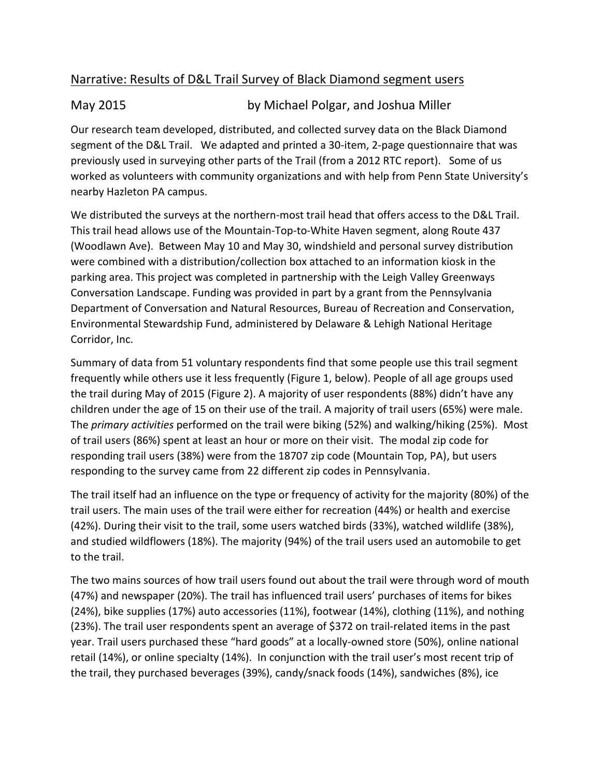## Narrative: Results of D&L Trail Survey of Black Diamond segment users

## May 2015 by Michael Polgar, and Joshua Miller

Our research team developed, distributed, and collected survey data on the Black Diamond segment of the D&L Trail. We adapted and printed a 30-item, 2-page questionnaire that was previously used in surveying other parts of the Trail (from a 2012 RTC report). Some of us worked as volunteers with community organizations and with help from Penn State University's nearby Hazleton PA campus.

We distributed the surveys at the northern-most trail head that offers access to the D&L Trail. This trail head allows use of the Mountain-Top-to-White Haven segment, along Route 437 (Woodlawn Ave). Between May 10 and May 30, windshield and personal survey distribution were combined with a distribution/collection box attached to an information kiosk in the parking area. This project was completed in partnership with the Leigh Valley Greenways Conversation Landscape. Funding was provided in part by a grant from the Pennsylvania Department of Conversation and Natural Resources, Bureau of Recreation and Conservation, Environmental Stewardship Fund, administered by Delaware & Lehigh National Heritage Corridor, Inc.

Summary of data from 51 voluntary respondents find that some people use this trail segment frequently while others use it less frequently (Figure 1, below). People of all age groups used the trail during May of 2015 (Figure 2). A majority of user respondents (88%) didn't have any children under the age of 15 on their use of the trail. A majority of trail users (65%) were male. The *primary activities* performed on the trail were biking (52%) and walking/hiking (25%). Most of trail users (86%) spent at least an hour or more on their visit. The modal zip code for responding trail users (38%) were from the 18707 zip code (Mountain Top, PA), but users responding to the survey came from 22 different zip codes in Pennsylvania.

The trail itself had an influence on the type or frequency of activity for the majority (80%) of the trail users. The main uses of the trail were either for recreation (44%) or health and exercise (42%). During their visit to the trail, some users watched birds (33%), watched wildlife (38%), and studied wildflowers (18%). The majority (94%) of the trail users used an automobile to get to the trail.

The two mains sources of how trail users found out about the trail were through word of mouth (47%) and newspaper (20%). The trail has influenced trail users' purchases of items for bikes (24%), bike supplies (17%) auto accessories (11%), footwear (14%), clothing (11%), and nothing (23%). The trail user respondents spent an average of \$372 on trail-related items in the past year. Trail users purchased these "hard goods" at a locally-owned store (50%), online national retail (14%), or online specialty (14%). In conjunction with the trail user's most recent trip of the trail, they purchased beverages (39%), candy/snack foods (14%), sandwiches (8%), ice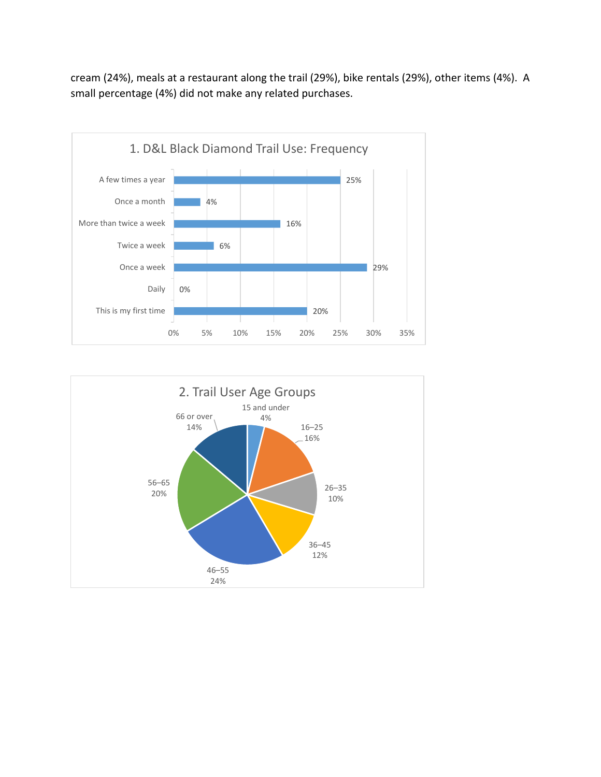cream (24%), meals at a restaurant along the trail (29%), bike rentals (29%), other items (4%). A small percentage (4%) did not make any related purchases.



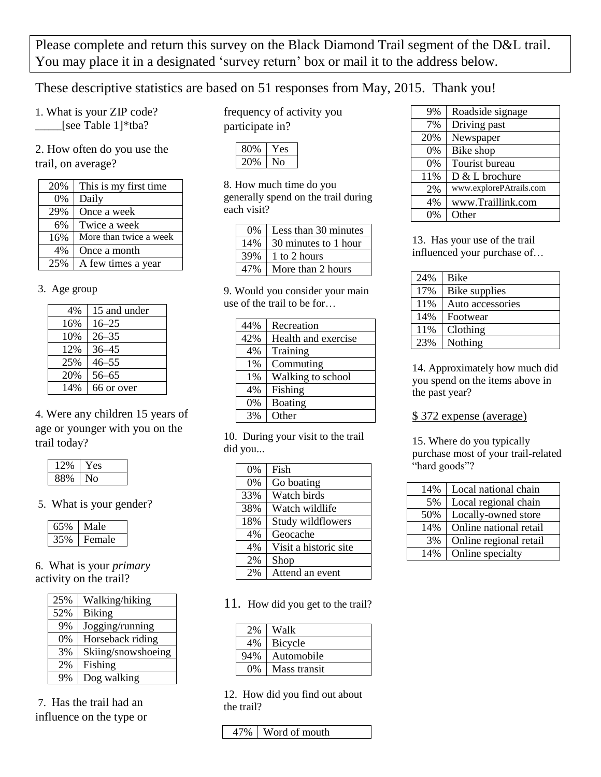Please complete and return this survey on the Black Diamond Trail segment of the D&L trail. You may place it in a designated 'survey return' box or mail it to the address below.

These descriptive statistics are based on 51 responses from May, 2015. Thank you!

1. What is your ZIP code? \_\_\_\_\_\_[see Table 1]\*tba?

2. How often do you use the trail, on average?

| 20% | This is my first time  |
|-----|------------------------|
| 0%  | Daily                  |
| 29% | Once a week            |
| 6%  | Twice a week           |
| 16% | More than twice a week |
| 4%  | Once a month           |
| 25% | A few times a year     |

## 3. Age group

| 4%  | 15 and under |
|-----|--------------|
| 16% | $16 - 25$    |
| 10% | $26 - 35$    |
| 12% | $36 - 45$    |
| 25% | $46 - 55$    |
| 20% | $56 - 65$    |
| 14% | 66 or over   |

4. Were any children 15 years of age or younger with you on the trail today?

| $\lambda$ | ٣N |
|-----------|----|
|           |    |

5. What is your gender?

| ∧ale   |
|--------|
| Female |

6. What is your *primary* activity on the trail?

| 25% | Walking/hiking     |
|-----|--------------------|
| 52% | <b>Biking</b>      |
| 9%  | Jogging/running    |
| 0%  | Horseback riding   |
| 3%  | Skiing/snowshoeing |
| 2%  | Fishing            |
| 9%  | Dog walking        |

7. Has the trail had an influence on the type or frequency of activity you participate in?

8. How much time do you generally spend on the trail during each visit?

| $0\%$           | Less than 30 minutes |  |
|-----------------|----------------------|--|
| 14 <sub>%</sub> | 30 minutes to 1 hour |  |
|                 | 1 to 2 hours         |  |
|                 | More than 2 hours    |  |

9. Would you consider your main use of the trail to be for…

| 44% | Recreation          |
|-----|---------------------|
| 42% | Health and exercise |
| 4%  | Training            |
| 1%  | Commuting           |
| 1%  | Walking to school   |
| 4%  | Fishing             |
| 0%  | Boating             |
| 3%  | Other               |

10. During your visit to the trail did you...

| 0%  | Fish                  |
|-----|-----------------------|
| 0%  | Go boating            |
| 33% | Watch birds           |
| 38% | Watch wildlife        |
| 18% | Study wildflowers     |
| 4%  | Geocache              |
| 4%  | Visit a historic site |
| 2%  | Shop                  |
| 2%  | Attend an event       |

11. How did you get to the trail?

| 2%<br>Walk            |  |
|-----------------------|--|
|                       |  |
| 4%<br>Bicycle         |  |
| 94%<br>Automobile     |  |
| $0\%$<br>Mass transit |  |

12. How did you find out about the trail?

47% Word of mouth

| 9%  | Roadside signage        |
|-----|-------------------------|
| 7%  | Driving past            |
| 20% | Newspaper               |
| 0%  | Bike shop               |
| 0%  | Tourist bureau          |
| 11% | D & L brochure          |
| 2%  | www.explorePAtrails.com |
| 4%  | www.Traillink.com       |
| 0%  | Other                   |
|     |                         |

13. Has your use of the trail influenced your purchase of…

| 24% | <b>Bike</b>      |
|-----|------------------|
| 17% | Bike supplies    |
| 11% | Auto accessories |
| 14% | Footwear         |
| 11% | Clothing         |
| 23% | Nothing          |

14. Approximately how much did you spend on the items above in the past year?

## \$ 372 expense (average)

15. Where do you typically purchase most of your trail-related "hard goods"?

| 14% | Local national chain   |
|-----|------------------------|
| 5%  | Local regional chain   |
| 50% | Locally-owned store    |
| 14% | Online national retail |
| 3%  | Online regional retail |
| 14% | Online specialty       |